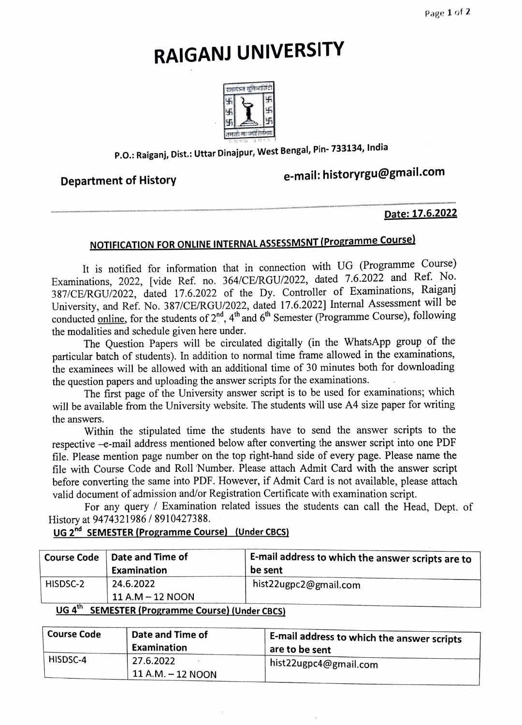# RAIGANJ UNIVERSITY



### P.O.: Raiganj, Dist.: Uttar Dinajpur, West Bengal, Pin- 733134, India

## Department of History e-mail: historyrgu@gmail.com

#### Date: 17.6.2022

### NOTIFICATION FOR ONLINE INTERNAL ASSESSMSNT (Programme Course)

It is notified for information that in connection with UG (Programme Course) Examinations, 2022, [vide Ref. no. 364/CE/RGU/2022, dated 7.6.2022 and Ref. No. 387/CE/RGU/2022, dated 17.6.2022 of the Dy. Controller of Examinations, Raiganj University, and Ref. No. 387/CE/RGU/2022, dated 17.6.2022] Internal Assessment will be conducted online, for the students of  $2<sup>nd</sup>$ ,  $4<sup>th</sup>$  and  $6<sup>th</sup>$  Semester (Programme Course), following the modalities and schedule given here under.

The Question Papers will be circulated digitally (in the WhatsApp group of the particular batch of students). In addition to normal time frame allowed in the examinations, the examinees will be allowed with an additional time of 30 minutes both for downloading the question papers and uploading the answer scripts for the examinations.

The first page of the University answer script is to be used for examinations; which will be available from the University website. The students will use A4 size paper for writing the answers.

Within the stipulated time the students have to send the answer scripts to the respective -e-mail address mentioned below after converting the answer script into one PDF file. Please mention page number on the top right-hand side of every page. Please name the file with Course Code and Roll Number. Please attach Admit Card with the answer script before converting the same into PDF. However, if Admit Card is not available, please attach valid document of admission and/or Registration Certificate with examination seript.

For any query / Examination related issues the students can call the Head, Dept. of History at 9474321986/ 8910427388.

### UG 2<sup>nd</sup> SEMESTER (Programme Course) (Under CBCS)

|                                                | Course Code   Date and Time of<br>Examination | E-mail address to which the answer scripts are to<br>be sent |  |
|------------------------------------------------|-----------------------------------------------|--------------------------------------------------------------|--|
| HISDSC-2                                       | 24.6.2022<br>11 A.M – 12 NOON                 | hist22ugpc2@gmail.com                                        |  |
| $\mu$ CENSECTED (December 001100) (Health 000) |                                               |                                                              |  |

#### UG 4 SEMESTER (Programme Course) (Under CBCS)

| <b>Course Code</b> | Date and Time of<br>Examination   | <b>E-mail address to which the answer scripts</b><br>are to be sent |
|--------------------|-----------------------------------|---------------------------------------------------------------------|
| HISDSC-4           | 27.6.2022<br>$11$ A.M. $-12$ NOON | $_1$ hist 22 ugpc 4 @ gmail.com                                     |